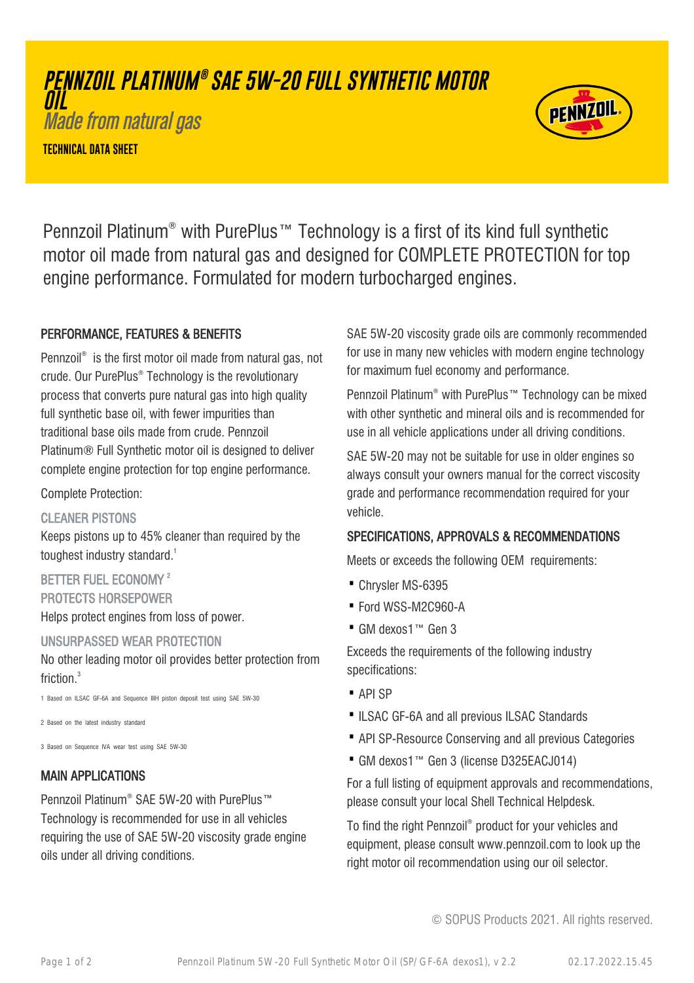# **PENNZOIL PLATINUM ® SAE 5W-20 FULL SYNTHETIC MOTOR OIL**

Made from natural gas

**TECHNICAL DATA SHEET**



Pennzoil Platinum® with PurePlus™ Technology is a first of its kind full synthetic motor oil made from natural gas and designed for COMPLETE PROTECTION for top engine performance. Formulated for modern turbocharged engines.

# PERFORMANCE, FEATURES & BENEFITS

Pennzoil® is the first motor oil made from natural gas, not crude. Our PurePlus® Technology is the revolutionary process that converts pure natural gas into high quality full synthetic base oil, with fewer impurities than traditional base oils made from crude. Pennzoil Platinum® Full Synthetic motor oil is designed to deliver complete engine protection for top engine performance.

Complete Protection:

### CLEANER PISTONS

Keeps pistons up to 45% cleaner than required by the toughest industry standard.<sup>1</sup>

BETTER FUEL ECONOMY<sup>2</sup> PROTECTS HORSEPOWER Helps protect engines from loss of power.

### UNSURPASSED WEAR PROTECTION

No other leading motor oil provides better protection from friction.<sup>3</sup>

1 Based on ILSAC GF-6A and Sequence IIIH piston deposit test using SAE 5W-30

2 Based on the latest industry standard

3 Based on Sequence IVA wear test using SAE 5W-30

# MAIN APPLICATIONS

Pennzoil Platinum® SAE 5W-20 with PurePlus™ Technology is recommended for use in all vehicles requiring the use of SAE 5W-20 viscosity grade engine oils under all driving conditions.

SAE 5W-20 viscosity grade oils are commonly recommended for use in many new vehicles with modern engine technology for maximum fuel economy and performance.

Pennzoil Platinum® with PurePlus™ Technology can be mixed with other synthetic and mineral oils and is recommended for use in all vehicle applications under all driving conditions.

SAE 5W-20 may not be suitable for use in older engines so always consult your owners manual for the correct viscosity grade and performance recommendation required for your vehicle.

# SPECIFICATIONS, APPROVALS & RECOMMENDATIONS

Meets or exceeds the following OEM requirements:

- · Chrysler MS-6395
- · Ford WSS-M2C960-A
- · GM dexos1™ Gen 3

Exceeds the requirements of the following industry specifications:

- · API SP
- ·ILSAC GF-6A and all previous ILSAC Standards
- · API SP-Resource Conserving and all previous Categories
- · GM dexos1™ Gen 3 (license D325EACJ014)

For a full listing of equipment approvals and recommendations, please consult your local Shell Technical Helpdesk.

To find the right Pennzoil® product for your vehicles and equipment, please consult www.pennzoil.com to look up the right motor oil recommendation using our oil selector.

© SOPUS Products 2021. All rights reserved.